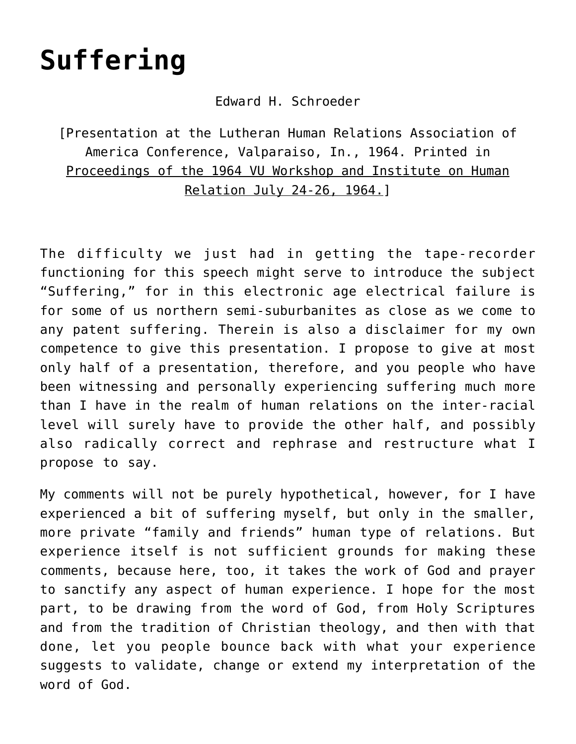# **[Suffering](https://crossings.org/suffering/)**

#### Edward H. Schroeder

[Presentation at the Lutheran Human Relations Association of America Conference, Valparaiso, In., 1964. Printed in Proceedings of the 1964 VU Workshop and Institute on Human Relation July 24-26, 1964.]

The difficulty we just had in getting the tape-recorder functioning for this speech might serve to introduce the subject "Suffering," for in this electronic age electrical failure is for some of us northern semi-suburbanites as close as we come to any patent suffering. Therein is also a disclaimer for my own competence to give this presentation. I propose to give at most only half of a presentation, therefore, and you people who have been witnessing and personally experiencing suffering much more than I have in the realm of human relations on the inter-racial level will surely have to provide the other half, and possibly also radically correct and rephrase and restructure what I propose to say.

My comments will not be purely hypothetical, however, for I have experienced a bit of suffering myself, but only in the smaller, more private "family and friends" human type of relations. But experience itself is not sufficient grounds for making these comments, because here, too, it takes the work of God and prayer to sanctify any aspect of human experience. I hope for the most part, to be drawing from the word of God, from Holy Scriptures and from the tradition of Christian theology, and then with that done, let you people bounce back with what your experience suggests to validate, change or extend my interpretation of the word of God.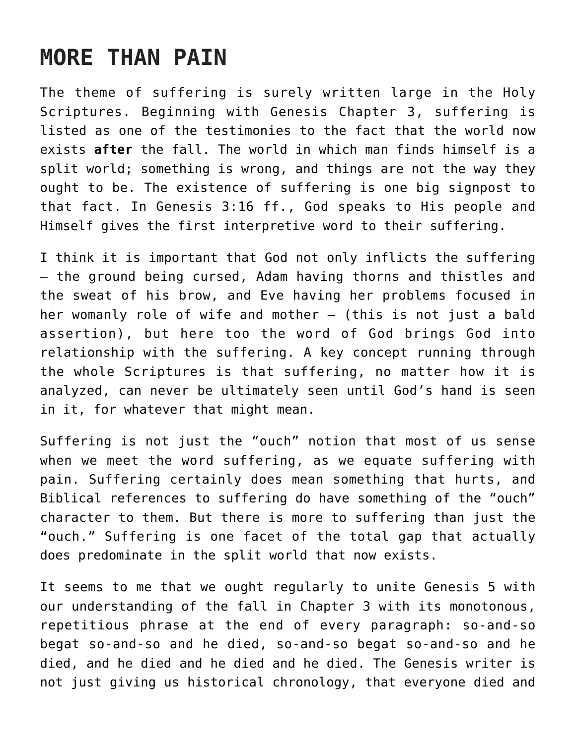### **MORE THAN PAIN**

The theme of suffering is surely written large in the Holy Scriptures. Beginning with Genesis Chapter 3, suffering is listed as one of the testimonies to the fact that the world now exists **after** the fall. The world in which man finds himself is a split world; something is wrong, and things are not the way they ought to be. The existence of suffering is one big signpost to that fact. In Genesis 3:16 ff., God speaks to His people and Himself gives the first interpretive word to their suffering.

I think it is important that God not only inflicts the suffering — the ground being cursed, Adam having thorns and thistles and the sweat of his brow, and Eve having her problems focused in her womanly role of wife and mother — (this is not just a bald assertion), but here too the word of God brings God into relationship with the suffering. A key concept running through the whole Scriptures is that suffering, no matter how it is analyzed, can never be ultimately seen until God's hand is seen in it, for whatever that might mean.

Suffering is not just the "ouch" notion that most of us sense when we meet the word suffering, as we equate suffering with pain. Suffering certainly does mean something that hurts, and Biblical references to suffering do have something of the "ouch" character to them. But there is more to suffering than just the "ouch." Suffering is one facet of the total gap that actually does predominate in the split world that now exists.

It seems to me that we ought regularly to unite Genesis 5 with our understanding of the fall in Chapter 3 with its monotonous, repetitious phrase at the end of every paragraph: so-and-so begat so-and-so and he died, so-and-so begat so-and-so and he died, and he died and he died and he died. The Genesis writer is not just giving us historical chronology, that everyone died and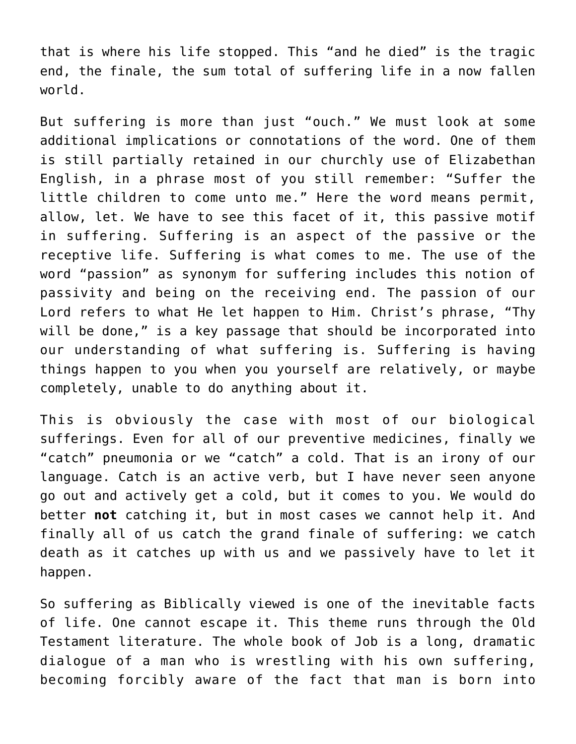that is where his life stopped. This "and he died" is the tragic end, the finale, the sum total of suffering life in a now fallen world.

But suffering is more than just "ouch." We must look at some additional implications or connotations of the word. One of them is still partially retained in our churchly use of Elizabethan English, in a phrase most of you still remember: "Suffer the little children to come unto me." Here the word means permit, allow, let. We have to see this facet of it, this passive motif in suffering. Suffering is an aspect of the passive or the receptive life. Suffering is what comes to me. The use of the word "passion" as synonym for suffering includes this notion of passivity and being on the receiving end. The passion of our Lord refers to what He let happen to Him. Christ's phrase, "Thy will be done," is a key passage that should be incorporated into our understanding of what suffering is. Suffering is having things happen to you when you yourself are relatively, or maybe completely, unable to do anything about it.

This is obviously the case with most of our biological sufferings. Even for all of our preventive medicines, finally we "catch" pneumonia or we "catch" a cold. That is an irony of our language. Catch is an active verb, but I have never seen anyone go out and actively get a cold, but it comes to you. We would do better **not** catching it, but in most cases we cannot help it. And finally all of us catch the grand finale of suffering: we catch death as it catches up with us and we passively have to let it happen.

So suffering as Biblically viewed is one of the inevitable facts of life. One cannot escape it. This theme runs through the Old Testament literature. The whole book of Job is a long, dramatic dialogue of a man who is wrestling with his own suffering, becoming forcibly aware of the fact that man is born into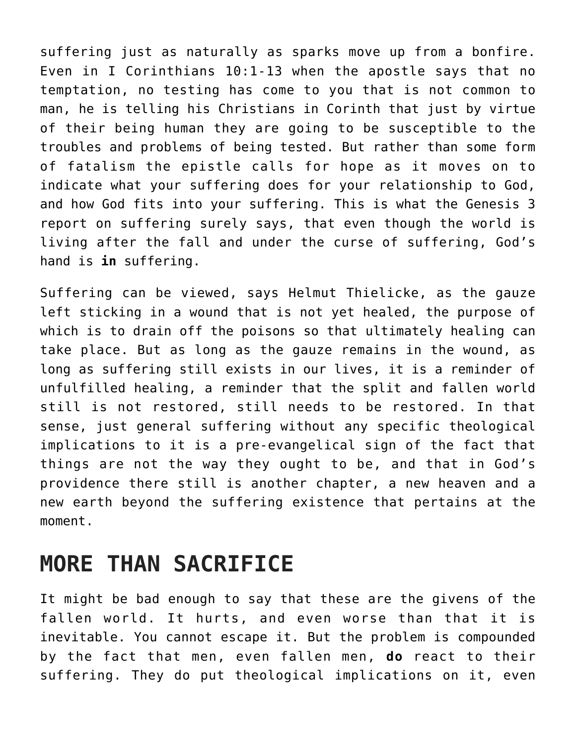suffering just as naturally as sparks move up from a bonfire. Even in I Corinthians 10:1-13 when the apostle says that no temptation, no testing has come to you that is not common to man, he is telling his Christians in Corinth that just by virtue of their being human they are going to be susceptible to the troubles and problems of being tested. But rather than some form of fatalism the epistle calls for hope as it moves on to indicate what your suffering does for your relationship to God, and how God fits into your suffering. This is what the Genesis 3 report on suffering surely says, that even though the world is living after the fall and under the curse of suffering, God's hand is **in** suffering.

Suffering can be viewed, says Helmut Thielicke, as the gauze left sticking in a wound that is not yet healed, the purpose of which is to drain off the poisons so that ultimately healing can take place. But as long as the gauze remains in the wound, as long as suffering still exists in our lives, it is a reminder of unfulfilled healing, a reminder that the split and fallen world still is not restored, still needs to be restored. In that sense, just general suffering without any specific theological implications to it is a pre-evangelical sign of the fact that things are not the way they ought to be, and that in God's providence there still is another chapter, a new heaven and a new earth beyond the suffering existence that pertains at the moment.

### **MORE THAN SACRIFICE**

It might be bad enough to say that these are the givens of the fallen world. It hurts, and even worse than that it is inevitable. You cannot escape it. But the problem is compounded by the fact that men, even fallen men, **do** react to their suffering. They do put theological implications on it, even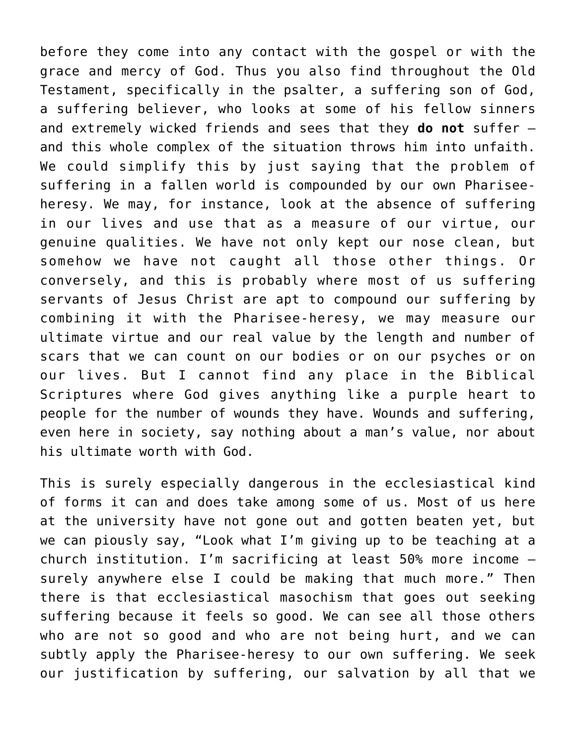before they come into any contact with the gospel or with the grace and mercy of God. Thus you also find throughout the Old Testament, specifically in the psalter, a suffering son of God, a suffering believer, who looks at some of his fellow sinners and extremely wicked friends and sees that they **do not** suffer and this whole complex of the situation throws him into unfaith. We could simplify this by just saying that the problem of suffering in a fallen world is compounded by our own Phariseeheresy. We may, for instance, look at the absence of suffering in our lives and use that as a measure of our virtue, our genuine qualities. We have not only kept our nose clean, but somehow we have not caught all those other things. Or conversely, and this is probably where most of us suffering servants of Jesus Christ are apt to compound our suffering by combining it with the Pharisee-heresy, we may measure our ultimate virtue and our real value by the length and number of scars that we can count on our bodies or on our psyches or on our lives. But I cannot find any place in the Biblical Scriptures where God gives anything like a purple heart to people for the number of wounds they have. Wounds and suffering, even here in society, say nothing about a man's value, nor about his ultimate worth with God.

This is surely especially dangerous in the ecclesiastical kind of forms it can and does take among some of us. Most of us here at the university have not gone out and gotten beaten yet, but we can piously say, "Look what I'm giving up to be teaching at a church institution. I'm sacrificing at least 50% more income surely anywhere else I could be making that much more." Then there is that ecclesiastical masochism that goes out seeking suffering because it feels so good. We can see all those others who are not so good and who are not being hurt, and we can subtly apply the Pharisee-heresy to our own suffering. We seek our justification by suffering, our salvation by all that we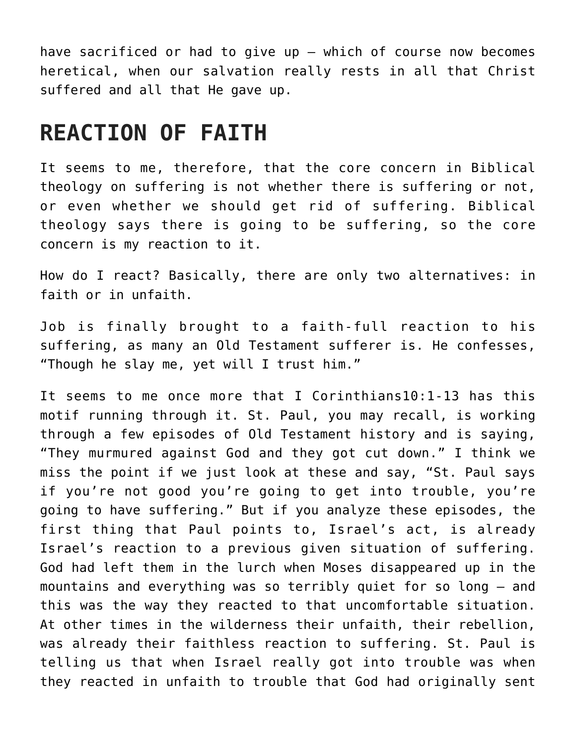have sacrificed or had to give up — which of course now becomes heretical, when our salvation really rests in all that Christ suffered and all that He gave up.

### **REACTION OF FAITH**

It seems to me, therefore, that the core concern in Biblical theology on suffering is not whether there is suffering or not, or even whether we should get rid of suffering. Biblical theology says there is going to be suffering, so the core concern is my reaction to it.

How do I react? Basically, there are only two alternatives: in faith or in unfaith.

Job is finally brought to a faith-full reaction to his suffering, as many an Old Testament sufferer is. He confesses, "Though he slay me, yet will I trust him."

It seems to me once more that I Corinthians10:1-13 has this motif running through it. St. Paul, you may recall, is working through a few episodes of Old Testament history and is saying, "They murmured against God and they got cut down." I think we miss the point if we just look at these and say, "St. Paul says if you're not good you're going to get into trouble, you're going to have suffering." But if you analyze these episodes, the first thing that Paul points to, Israel's act, is already Israel's reaction to a previous given situation of suffering. God had left them in the lurch when Moses disappeared up in the mountains and everything was so terribly quiet for so long — and this was the way they reacted to that uncomfortable situation. At other times in the wilderness their unfaith, their rebellion, was already their faithless reaction to suffering. St. Paul is telling us that when Israel really got into trouble was when they reacted in unfaith to trouble that God had originally sent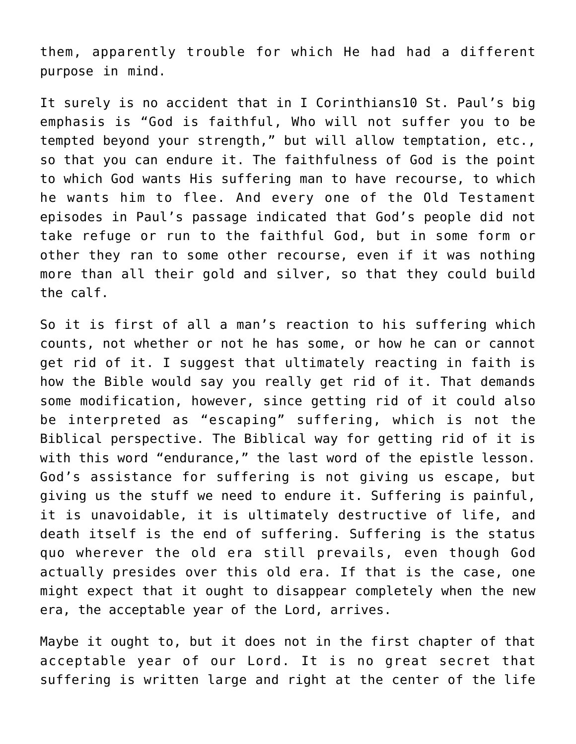them, apparently trouble for which He had had a different purpose in mind.

It surely is no accident that in I Corinthians10 St. Paul's big emphasis is "God is faithful, Who will not suffer you to be tempted beyond your strength," but will allow temptation, etc., so that you can endure it. The faithfulness of God is the point to which God wants His suffering man to have recourse, to which he wants him to flee. And every one of the Old Testament episodes in Paul's passage indicated that God's people did not take refuge or run to the faithful God, but in some form or other they ran to some other recourse, even if it was nothing more than all their gold and silver, so that they could build the calf.

So it is first of all a man's reaction to his suffering which counts, not whether or not he has some, or how he can or cannot get rid of it. I suggest that ultimately reacting in faith is how the Bible would say you really get rid of it. That demands some modification, however, since getting rid of it could also be interpreted as "escaping" suffering, which is not the Biblical perspective. The Biblical way for getting rid of it is with this word "endurance," the last word of the epistle lesson. God's assistance for suffering is not giving us escape, but giving us the stuff we need to endure it. Suffering is painful, it is unavoidable, it is ultimately destructive of life, and death itself is the end of suffering. Suffering is the status quo wherever the old era still prevails, even though God actually presides over this old era. If that is the case, one might expect that it ought to disappear completely when the new era, the acceptable year of the Lord, arrives.

Maybe it ought to, but it does not in the first chapter of that acceptable year of our Lord. It is no great secret that suffering is written large and right at the center of the life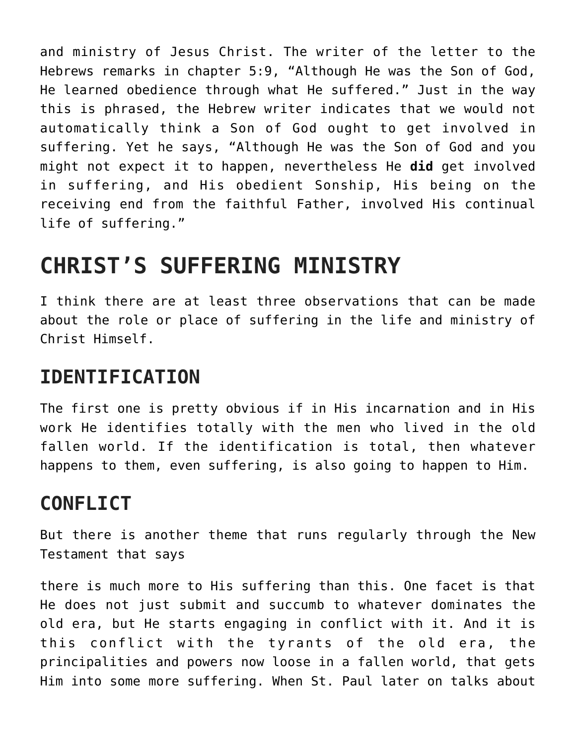and ministry of Jesus Christ. The writer of the letter to the Hebrews remarks in chapter 5:9, "Although He was the Son of God, He learned obedience through what He suffered." Just in the way this is phrased, the Hebrew writer indicates that we would not automatically think a Son of God ought to get involved in suffering. Yet he says, "Although He was the Son of God and you might not expect it to happen, nevertheless He **did** get involved in suffering, and His obedient Sonship, His being on the receiving end from the faithful Father, involved His continual life of suffering."

## **CHRIST'S SUFFERING MINISTRY**

I think there are at least three observations that can be made about the role or place of suffering in the life and ministry of Christ Himself.

### **IDENTIFICATION**

The first one is pretty obvious if in His incarnation and in His work He identifies totally with the men who lived in the old fallen world. If the identification is total, then whatever happens to them, even suffering, is also going to happen to Him.

### **CONFLICT**

But there is another theme that runs regularly through the New Testament that says

there is much more to His suffering than this. One facet is that He does not just submit and succumb to whatever dominates the old era, but He starts engaging in conflict with it. And it is this conflict with the tyrants of the old era, the principalities and powers now loose in a fallen world, that gets Him into some more suffering. When St. Paul later on talks about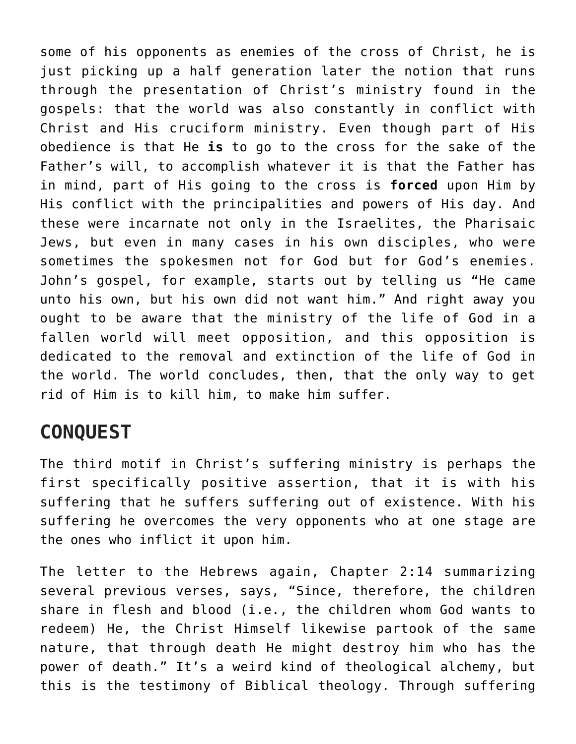some of his opponents as enemies of the cross of Christ, he is just picking up a half generation later the notion that runs through the presentation of Christ's ministry found in the gospels: that the world was also constantly in conflict with Christ and His cruciform ministry. Even though part of His obedience is that He **is** to go to the cross for the sake of the Father's will, to accomplish whatever it is that the Father has in mind, part of His going to the cross is **forced** upon Him by His conflict with the principalities and powers of His day. And these were incarnate not only in the Israelites, the Pharisaic Jews, but even in many cases in his own disciples, who were sometimes the spokesmen not for God but for God's enemies. John's gospel, for example, starts out by telling us "He came unto his own, but his own did not want him." And right away you ought to be aware that the ministry of the life of God in a fallen world will meet opposition, and this opposition is dedicated to the removal and extinction of the life of God in the world. The world concludes, then, that the only way to get rid of Him is to kill him, to make him suffer.

#### **CONQUEST**

The third motif in Christ's suffering ministry is perhaps the first specifically positive assertion, that it is with his suffering that he suffers suffering out of existence. With his suffering he overcomes the very opponents who at one stage are the ones who inflict it upon him.

The letter to the Hebrews again, Chapter 2:14 summarizing several previous verses, says, "Since, therefore, the children share in flesh and blood (i.e., the children whom God wants to redeem) He, the Christ Himself likewise partook of the same nature, that through death He might destroy him who has the power of death." It's a weird kind of theological alchemy, but this is the testimony of Biblical theology. Through suffering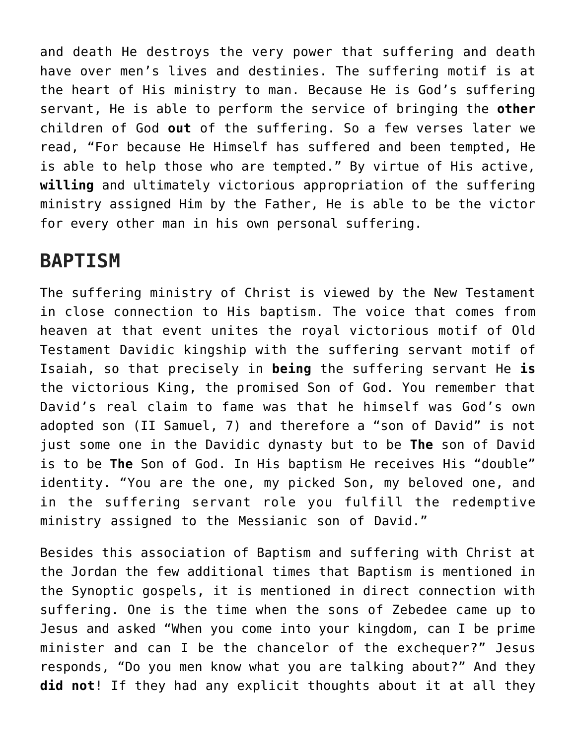and death He destroys the very power that suffering and death have over men's lives and destinies. The suffering motif is at the heart of His ministry to man. Because He is God's suffering servant, He is able to perform the service of bringing the **other** children of God **out** of the suffering. So a few verses later we read, "For because He Himself has suffered and been tempted, He is able to help those who are tempted." By virtue of His active, **willing** and ultimately victorious appropriation of the suffering ministry assigned Him by the Father, He is able to be the victor for every other man in his own personal suffering.

### **BAPTISM**

The suffering ministry of Christ is viewed by the New Testament in close connection to His baptism. The voice that comes from heaven at that event unites the royal victorious motif of Old Testament Davidic kingship with the suffering servant motif of Isaiah, so that precisely in **being** the suffering servant He **is** the victorious King, the promised Son of God. You remember that David's real claim to fame was that he himself was God's own adopted son (II Samuel, 7) and therefore a "son of David" is not just some one in the Davidic dynasty but to be **The** son of David is to be **The** Son of God. In His baptism He receives His "double" identity. "You are the one, my picked Son, my beloved one, and in the suffering servant role you fulfill the redemptive ministry assigned to the Messianic son of David."

Besides this association of Baptism and suffering with Christ at the Jordan the few additional times that Baptism is mentioned in the Synoptic gospels, it is mentioned in direct connection with suffering. One is the time when the sons of Zebedee came up to Jesus and asked "When you come into your kingdom, can I be prime minister and can I be the chancelor of the exchequer?" Jesus responds, "Do you men know what you are talking about?" And they **did not**! If they had any explicit thoughts about it at all they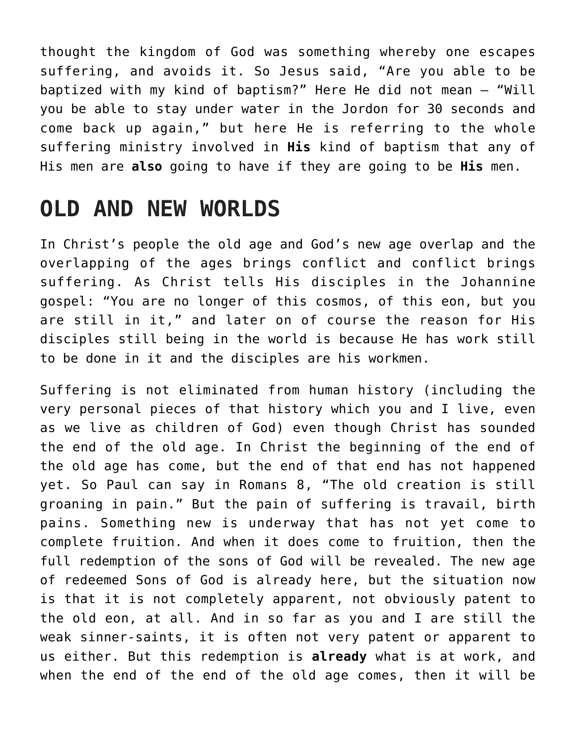thought the kingdom of God was something whereby one escapes suffering, and avoids it. So Jesus said, "Are you able to be baptized with my kind of baptism?" Here He did not mean — "Will you be able to stay under water in the Jordon for 30 seconds and come back up again," but here He is referring to the whole suffering ministry involved in **His** kind of baptism that any of His men are **also** going to have if they are going to be **His** men.

### **OLD AND NEW WORLDS**

In Christ's people the old age and God's new age overlap and the overlapping of the ages brings conflict and conflict brings suffering. As Christ tells His disciples in the Johannine gospel: "You are no longer of this cosmos, of this eon, but you are still in it," and later on of course the reason for His disciples still being in the world is because He has work still to be done in it and the disciples are his workmen.

Suffering is not eliminated from human history (including the very personal pieces of that history which you and I live, even as we live as children of God) even though Christ has sounded the end of the old age. In Christ the beginning of the end of the old age has come, but the end of that end has not happened yet. So Paul can say in Romans 8, "The old creation is still groaning in pain." But the pain of suffering is travail, birth pains. Something new is underway that has not yet come to complete fruition. And when it does come to fruition, then the full redemption of the sons of God will be revealed. The new age of redeemed Sons of God is already here, but the situation now is that it is not completely apparent, not obviously patent to the old eon, at all. And in so far as you and I are still the weak sinner-saints, it is often not very patent or apparent to us either. But this redemption is **already** what is at work, and when the end of the end of the old age comes, then it will be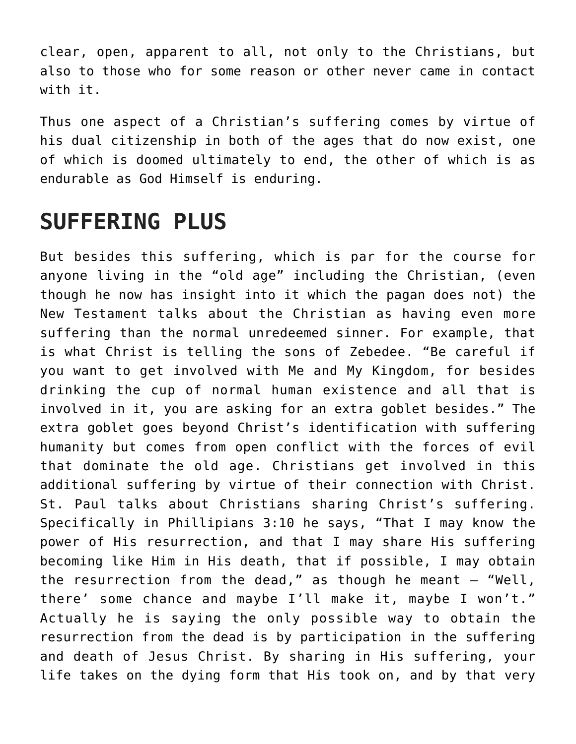clear, open, apparent to all, not only to the Christians, but also to those who for some reason or other never came in contact with it.

Thus one aspect of a Christian's suffering comes by virtue of his dual citizenship in both of the ages that do now exist, one of which is doomed ultimately to end, the other of which is as endurable as God Himself is enduring.

### **SUFFERING PLUS**

But besides this suffering, which is par for the course for anyone living in the "old age" including the Christian, (even though he now has insight into it which the pagan does not) the New Testament talks about the Christian as having even more suffering than the normal unredeemed sinner. For example, that is what Christ is telling the sons of Zebedee. "Be careful if you want to get involved with Me and My Kingdom, for besides drinking the cup of normal human existence and all that is involved in it, you are asking for an extra goblet besides." The extra goblet goes beyond Christ's identification with suffering humanity but comes from open conflict with the forces of evil that dominate the old age. Christians get involved in this additional suffering by virtue of their connection with Christ. St. Paul talks about Christians sharing Christ's suffering. Specifically in Phillipians 3:10 he says, "That I may know the power of His resurrection, and that I may share His suffering becoming like Him in His death, that if possible, I may obtain the resurrection from the dead," as though he meant  $-$  "Well, there' some chance and maybe I'll make it, maybe I won't." Actually he is saying the only possible way to obtain the resurrection from the dead is by participation in the suffering and death of Jesus Christ. By sharing in His suffering, your life takes on the dying form that His took on, and by that very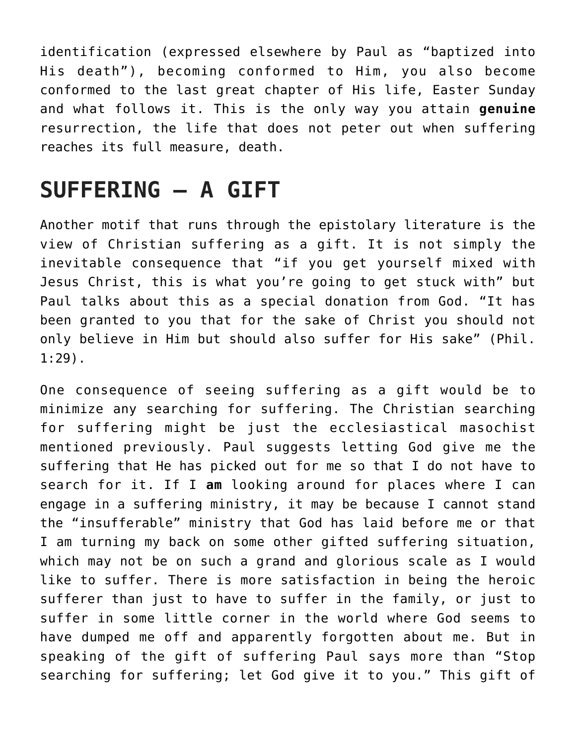identification (expressed elsewhere by Paul as "baptized into His death"), becoming conformed to Him, you also become conformed to the last great chapter of His life, Easter Sunday and what follows it. This is the only way you attain **genuine** resurrection, the life that does not peter out when suffering reaches its full measure, death.

## **SUFFERING — A GIFT**

Another motif that runs through the epistolary literature is the view of Christian suffering as a gift. It is not simply the inevitable consequence that "if you get yourself mixed with Jesus Christ, this is what you're going to get stuck with" but Paul talks about this as a special donation from God. "It has been granted to you that for the sake of Christ you should not only believe in Him but should also suffer for His sake" (Phil. 1:29).

One consequence of seeing suffering as a gift would be to minimize any searching for suffering. The Christian searching for suffering might be just the ecclesiastical masochist mentioned previously. Paul suggests letting God give me the suffering that He has picked out for me so that I do not have to search for it. If I **am** looking around for places where I can engage in a suffering ministry, it may be because I cannot stand the "insufferable" ministry that God has laid before me or that I am turning my back on some other gifted suffering situation, which may not be on such a grand and glorious scale as I would like to suffer. There is more satisfaction in being the heroic sufferer than just to have to suffer in the family, or just to suffer in some little corner in the world where God seems to have dumped me off and apparently forgotten about me. But in speaking of the gift of suffering Paul says more than "Stop searching for suffering; let God give it to you." This gift of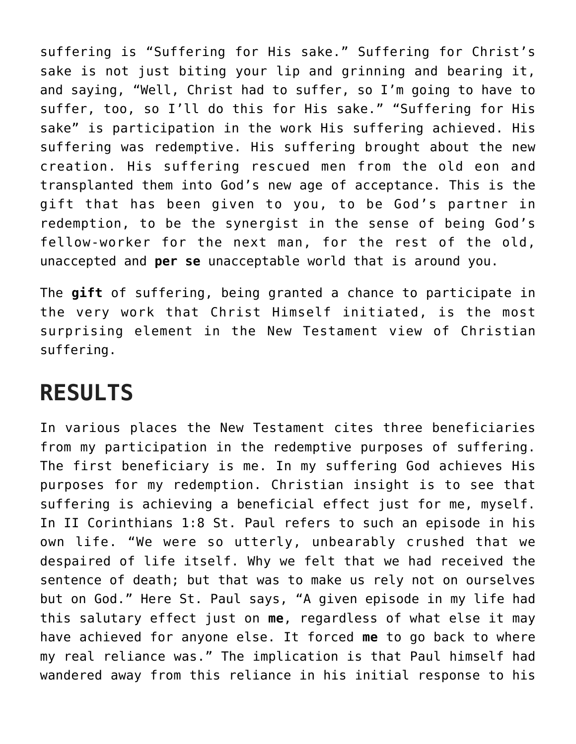suffering is "Suffering for His sake." Suffering for Christ's sake is not just biting your lip and grinning and bearing it, and saying, "Well, Christ had to suffer, so I'm going to have to suffer, too, so I'll do this for His sake." "Suffering for His sake" is participation in the work His suffering achieved. His suffering was redemptive. His suffering brought about the new creation. His suffering rescued men from the old eon and transplanted them into God's new age of acceptance. This is the gift that has been given to you, to be God's partner in redemption, to be the synergist in the sense of being God's fellow-worker for the next man, for the rest of the old, unaccepted and **per se** unacceptable world that is around you.

The **gift** of suffering, being granted a chance to participate in the very work that Christ Himself initiated, is the most surprising element in the New Testament view of Christian suffering.

### **RESULTS**

In various places the New Testament cites three beneficiaries from my participation in the redemptive purposes of suffering. The first beneficiary is me. In my suffering God achieves His purposes for my redemption. Christian insight is to see that suffering is achieving a beneficial effect just for me, myself. In II Corinthians 1:8 St. Paul refers to such an episode in his own life. "We were so utterly, unbearably crushed that we despaired of life itself. Why we felt that we had received the sentence of death; but that was to make us rely not on ourselves but on God." Here St. Paul says, "A given episode in my life had this salutary effect just on **me**, regardless of what else it may have achieved for anyone else. It forced **me** to go back to where my real reliance was." The implication is that Paul himself had wandered away from this reliance in his initial response to his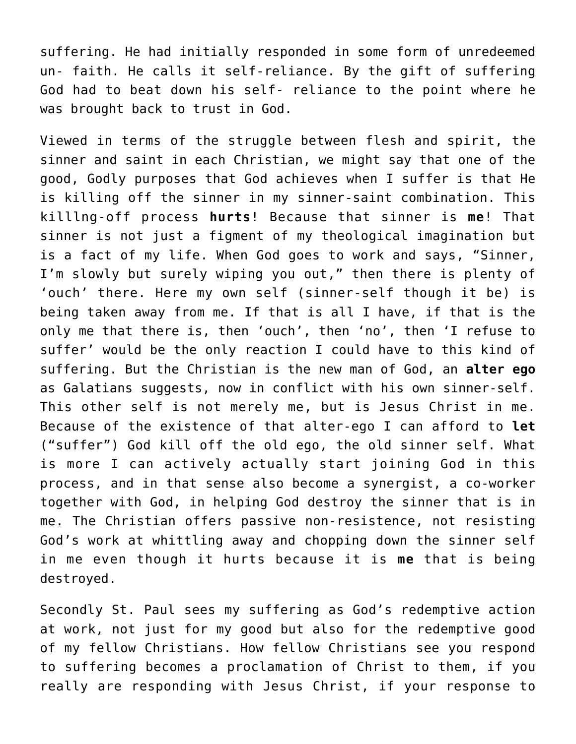suffering. He had initially responded in some form of unredeemed un- faith. He calls it self-reliance. By the gift of suffering God had to beat down his self- reliance to the point where he was brought back to trust in God.

Viewed in terms of the struggle between flesh and spirit, the sinner and saint in each Christian, we might say that one of the good, Godly purposes that God achieves when I suffer is that He is killing off the sinner in my sinner-saint combination. This killlng-off process **hurts**! Because that sinner is **me**! That sinner is not just a figment of my theological imagination but is a fact of my life. When God goes to work and says, "Sinner, I'm slowly but surely wiping you out," then there is plenty of 'ouch' there. Here my own self (sinner-self though it be) is being taken away from me. If that is all I have, if that is the only me that there is, then 'ouch', then 'no', then 'I refuse to suffer' would be the only reaction I could have to this kind of suffering. But the Christian is the new man of God, an **alter ego** as Galatians suggests, now in conflict with his own sinner-self. This other self is not merely me, but is Jesus Christ in me. Because of the existence of that alter-ego I can afford to **let** ("suffer") God kill off the old ego, the old sinner self. What is more I can actively actually start joining God in this process, and in that sense also become a synergist, a co-worker together with God, in helping God destroy the sinner that is in me. The Christian offers passive non-resistence, not resisting God's work at whittling away and chopping down the sinner self in me even though it hurts because it is **me** that is being destroyed.

Secondly St. Paul sees my suffering as God's redemptive action at work, not just for my good but also for the redemptive good of my fellow Christians. How fellow Christians see you respond to suffering becomes a proclamation of Christ to them, if you really are responding with Jesus Christ, if your response to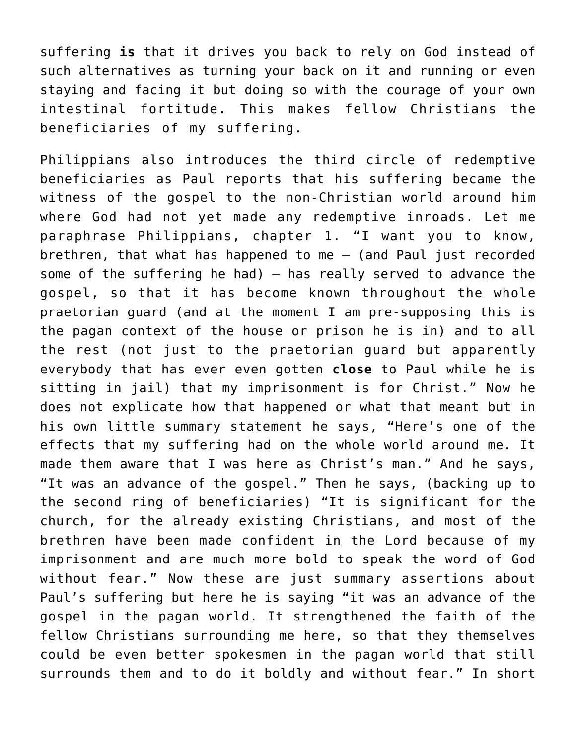suffering **is** that it drives you back to rely on God instead of such alternatives as turning your back on it and running or even staying and facing it but doing so with the courage of your own intestinal fortitude. This makes fellow Christians the beneficiaries of my suffering.

Philippians also introduces the third circle of redemptive beneficiaries as Paul reports that his suffering became the witness of the gospel to the non-Christian world around him where God had not yet made any redemptive inroads. Let me paraphrase Philippians, chapter 1. "I want you to know, brethren, that what has happened to me — (and Paul just recorded some of the suffering he had) — has really served to advance the gospel, so that it has become known throughout the whole praetorian guard (and at the moment I am pre-supposing this is the pagan context of the house or prison he is in) and to all the rest (not just to the praetorian guard but apparently everybody that has ever even gotten **close** to Paul while he is sitting in jail) that my imprisonment is for Christ." Now he does not explicate how that happened or what that meant but in his own little summary statement he says, "Here's one of the effects that my suffering had on the whole world around me. It made them aware that I was here as Christ's man." And he says, "It was an advance of the gospel." Then he says, (backing up to the second ring of beneficiaries) "It is significant for the church, for the already existing Christians, and most of the brethren have been made confident in the Lord because of my imprisonment and are much more bold to speak the word of God without fear." Now these are just summary assertions about Paul's suffering but here he is saying "it was an advance of the gospel in the pagan world. It strengthened the faith of the fellow Christians surrounding me here, so that they themselves could be even better spokesmen in the pagan world that still surrounds them and to do it boldly and without fear." In short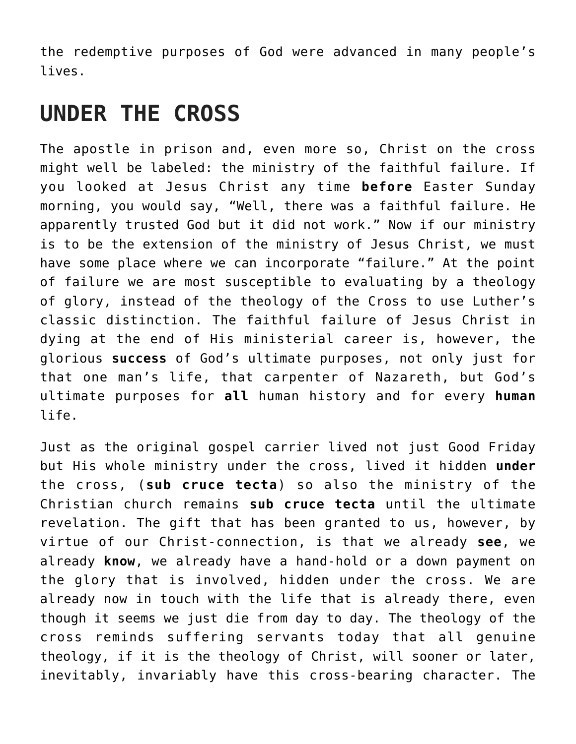the redemptive purposes of God were advanced in many people's lives.

### **UNDER THE CROSS**

The apostle in prison and, even more so, Christ on the cross might well be labeled: the ministry of the faithful failure. If you looked at Jesus Christ any time **before** Easter Sunday morning, you would say, "Well, there was a faithful failure. He apparently trusted God but it did not work." Now if our ministry is to be the extension of the ministry of Jesus Christ, we must have some place where we can incorporate "failure." At the point of failure we are most susceptible to evaluating by a theology of glory, instead of the theology of the Cross to use Luther's classic distinction. The faithful failure of Jesus Christ in dying at the end of His ministerial career is, however, the glorious **success** of God's ultimate purposes, not only just for that one man's life, that carpenter of Nazareth, but God's ultimate purposes for **all** human history and for every **human** life.

Just as the original gospel carrier lived not just Good Friday but His whole ministry under the cross, lived it hidden **under** the cross, (**sub cruce tecta**) so also the ministry of the Christian church remains **sub cruce tecta** until the ultimate revelation. The gift that has been granted to us, however, by virtue of our Christ-connection, is that we already **see**, we already **know**, we already have a hand-hold or a down payment on the glory that is involved, hidden under the cross. We are already now in touch with the life that is already there, even though it seems we just die from day to day. The theology of the cross reminds suffering servants today that all genuine theology, if it is the theology of Christ, will sooner or later, inevitably, invariably have this cross-bearing character. The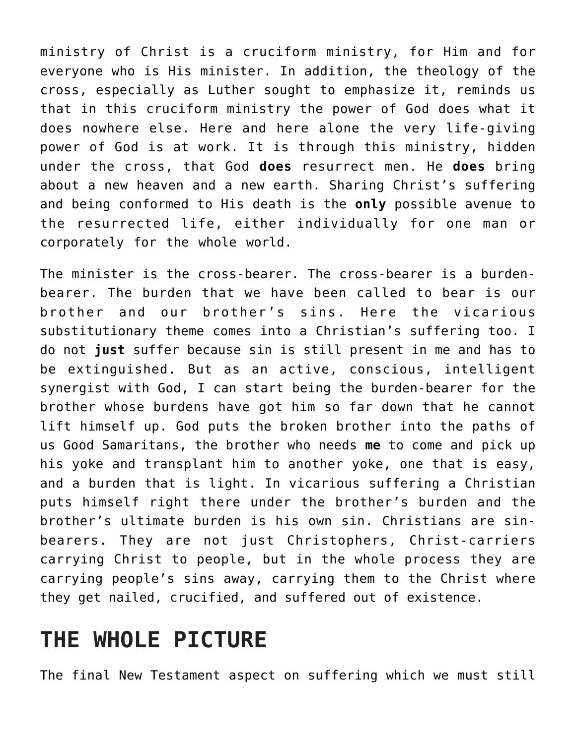ministry of Christ is a cruciform ministry, for Him and for everyone who is His minister. In addition, the theology of the cross, especially as Luther sought to emphasize it, reminds us that in this cruciform ministry the power of God does what it does nowhere else. Here and here alone the very life-giving power of God is at work. It is through this ministry, hidden under the cross, that God **does** resurrect men. He **does** bring about a new heaven and a new earth. Sharing Christ's suffering and being conformed to His death is the **only** possible avenue to the resurrected life, either individually for one man or corporately for the whole world.

The minister is the cross-bearer. The cross-bearer is a burdenbearer. The burden that we have been called to bear is our brother and our brother's sins. Here the vicarious substitutionary theme comes into a Christian's suffering too. I do not **just** suffer because sin is still present in me and has to be extinguished. But as an active, conscious, intelligent synergist with God, I can start being the burden-bearer for the brother whose burdens have got him so far down that he cannot lift himself up. God puts the broken brother into the paths of us Good Samaritans, the brother who needs **me** to come and pick up his yoke and transplant him to another yoke, one that is easy, and a burden that is light. In vicarious suffering a Christian puts himself right there under the brother's burden and the brother's ultimate burden is his own sin. Christians are sinbearers. They are not just Christophers, Christ-carriers carrying Christ to people, but in the whole process they are carrying people's sins away, carrying them to the Christ where they get nailed, crucified, and suffered out of existence.

### **THE WHOLE PICTURE**

The final New Testament aspect on suffering which we must still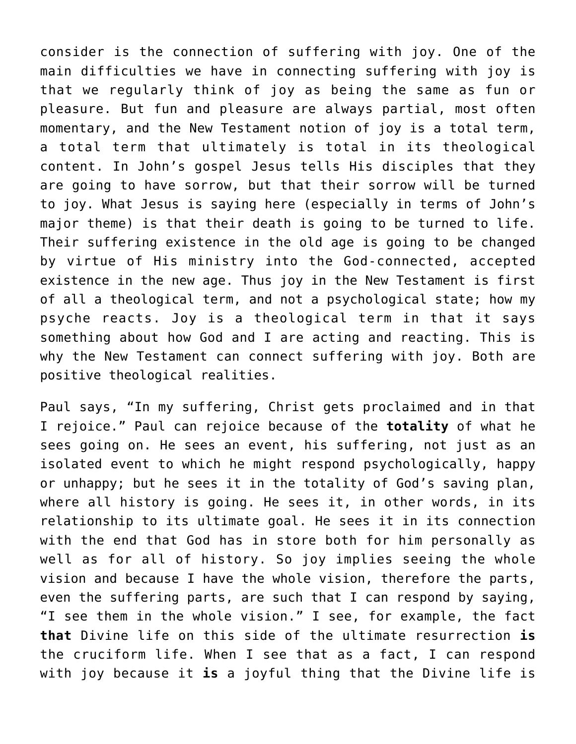consider is the connection of suffering with joy. One of the main difficulties we have in connecting suffering with joy is that we regularly think of joy as being the same as fun or pleasure. But fun and pleasure are always partial, most often momentary, and the New Testament notion of joy is a total term, a total term that ultimately is total in its theological content. In John's gospel Jesus tells His disciples that they are going to have sorrow, but that their sorrow will be turned to joy. What Jesus is saying here (especially in terms of John's major theme) is that their death is going to be turned to life. Their suffering existence in the old age is going to be changed by virtue of His ministry into the God-connected, accepted existence in the new age. Thus joy in the New Testament is first of all a theological term, and not a psychological state; how my psyche reacts. Joy is a theological term in that it says something about how God and I are acting and reacting. This is why the New Testament can connect suffering with joy. Both are positive theological realities.

Paul says, "In my suffering, Christ gets proclaimed and in that I rejoice." Paul can rejoice because of the **totality** of what he sees going on. He sees an event, his suffering, not just as an isolated event to which he might respond psychologically, happy or unhappy; but he sees it in the totality of God's saving plan, where all history is going. He sees it, in other words, in its relationship to its ultimate goal. He sees it in its connection with the end that God has in store both for him personally as well as for all of history. So joy implies seeing the whole vision and because I have the whole vision, therefore the parts, even the suffering parts, are such that I can respond by saying, "I see them in the whole vision." I see, for example, the fact **that** Divine life on this side of the ultimate resurrection **is** the cruciform life. When I see that as a fact, I can respond with joy because it **is** a joyful thing that the Divine life is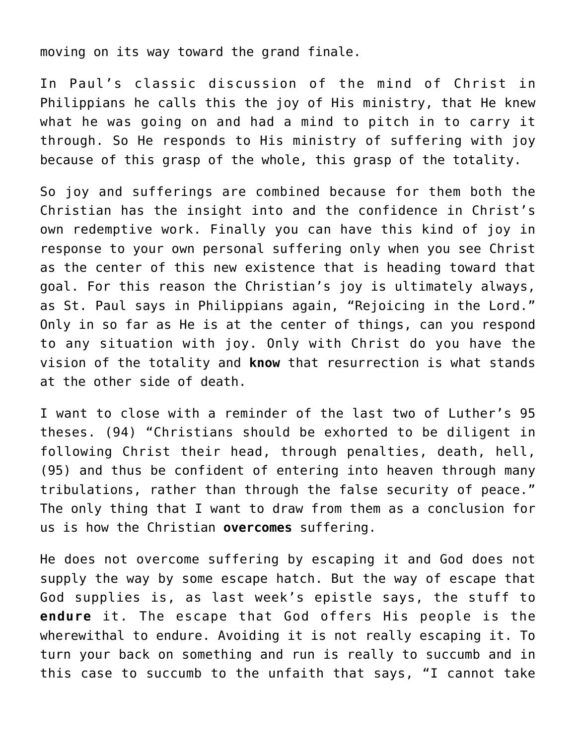moving on its way toward the grand finale.

In Paul's classic discussion of the mind of Christ in Philippians he calls this the joy of His ministry, that He knew what he was going on and had a mind to pitch in to carry it through. So He responds to His ministry of suffering with joy because of this grasp of the whole, this grasp of the totality.

So joy and sufferings are combined because for them both the Christian has the insight into and the confidence in Christ's own redemptive work. Finally you can have this kind of joy in response to your own personal suffering only when you see Christ as the center of this new existence that is heading toward that goal. For this reason the Christian's joy is ultimately always, as St. Paul says in Philippians again, "Rejoicing in the Lord." Only in so far as He is at the center of things, can you respond to any situation with joy. Only with Christ do you have the vision of the totality and **know** that resurrection is what stands at the other side of death.

I want to close with a reminder of the last two of Luther's 95 theses. (94) "Christians should be exhorted to be diligent in following Christ their head, through penalties, death, hell, (95) and thus be confident of entering into heaven through many tribulations, rather than through the false security of peace." The only thing that I want to draw from them as a conclusion for us is how the Christian **overcomes** suffering.

He does not overcome suffering by escaping it and God does not supply the way by some escape hatch. But the way of escape that God supplies is, as last week's epistle says, the stuff to **endure** it. The escape that God offers His people is the wherewithal to endure. Avoiding it is not really escaping it. To turn your back on something and run is really to succumb and in this case to succumb to the unfaith that says, "I cannot take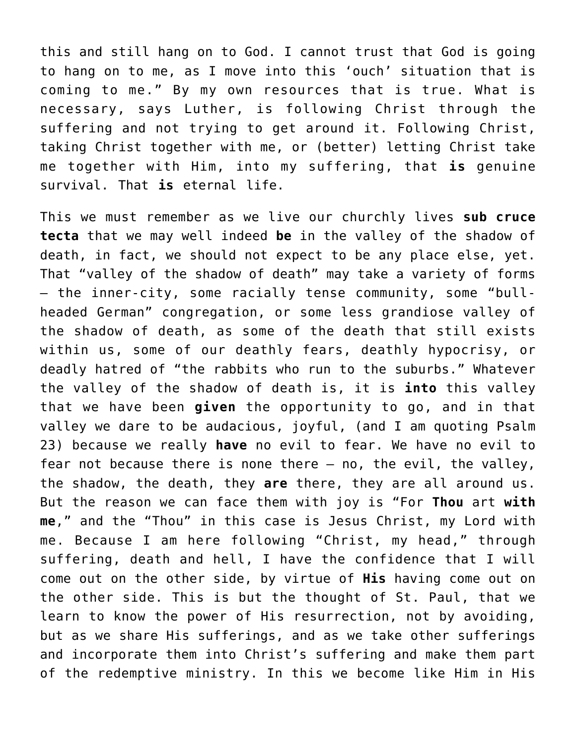this and still hang on to God. I cannot trust that God is going to hang on to me, as I move into this 'ouch' situation that is coming to me." By my own resources that is true. What is necessary, says Luther, is following Christ through the suffering and not trying to get around it. Following Christ, taking Christ together with me, or (better) letting Christ take me together with Him, into my suffering, that **is** genuine survival. That **is** eternal life.

This we must remember as we live our churchly lives **sub cruce tecta** that we may well indeed **be** in the valley of the shadow of death, in fact, we should not expect to be any place else, yet. That "valley of the shadow of death" may take a variety of forms — the inner-city, some racially tense community, some "bullheaded German" congregation, or some less grandiose valley of the shadow of death, as some of the death that still exists within us, some of our deathly fears, deathly hypocrisy, or deadly hatred of "the rabbits who run to the suburbs." Whatever the valley of the shadow of death is, it is **into** this valley that we have been **given** the opportunity to go, and in that valley we dare to be audacious, joyful, (and I am quoting Psalm 23) because we really **have** no evil to fear. We have no evil to fear not because there is none there — no, the evil, the valley, the shadow, the death, they **are** there, they are all around us. But the reason we can face them with joy is "For **Thou** art **with me**," and the "Thou" in this case is Jesus Christ, my Lord with me. Because I am here following "Christ, my head," through suffering, death and hell, I have the confidence that I will come out on the other side, by virtue of **His** having come out on the other side. This is but the thought of St. Paul, that we learn to know the power of His resurrection, not by avoiding, but as we share His sufferings, and as we take other sufferings and incorporate them into Christ's suffering and make them part of the redemptive ministry. In this we become like Him in His